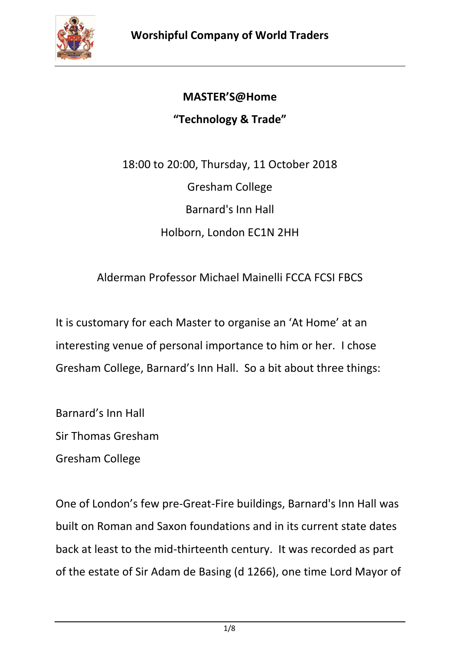

## **MASTER'S@Home**

## **"Technology & Trade"**

18:00 to 20:00, Thursday, 11 October 2018 Gresham College Barnard's Inn Hall Holborn, London EC1N 2HH

## Alderman Professor Michael Mainelli FCCA FCSI FBCS

It is customary for each Master to organise an 'At Home' at an interesting venue of personal importance to him or her. I chose Gresham College, Barnard's Inn Hall. So a bit about three things:

Barnard's Inn Hall Sir Thomas Gresham Gresham College

One of London's few pre-Great-Fire buildings, Barnard's Inn Hall was built on Roman and Saxon foundations and in its current state dates back at least to the mid-thirteenth century. It was recorded as part of the estate of Sir Adam de Basing (d 1266), one time Lord Mayor of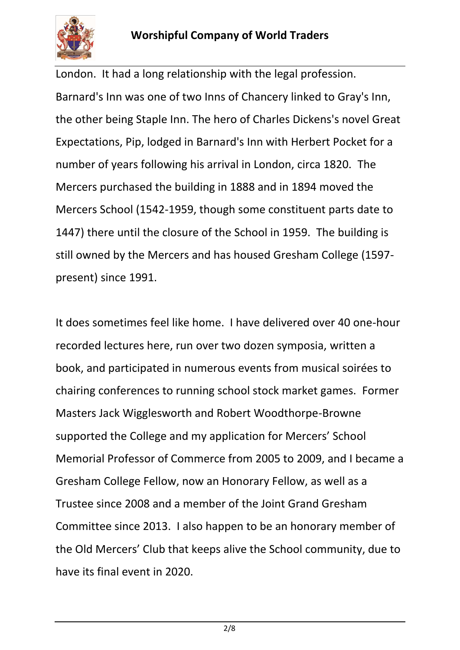

London. It had a long relationship with the legal profession. Barnard's Inn was one of two Inns of Chancery linked to Gray's Inn, the other being Staple Inn. The hero of Charles Dickens's novel Great Expectations, Pip, lodged in Barnard's Inn with Herbert Pocket for a number of years following his arrival in London, circa 1820. The Mercers purchased the building in 1888 and in 1894 moved the Mercers School (1542-1959, though some constituent parts date to 1447) there until the closure of the School in 1959. The building is still owned by the Mercers and has housed Gresham College (1597 present) since 1991.

It does sometimes feel like home. I have delivered over 40 one-hour recorded lectures here, run over two dozen symposia, written a book, and participated in numerous events from musical soirées to chairing conferences to running school stock market games. Former Masters Jack Wigglesworth and Robert Woodthorpe-Browne supported the College and my application for Mercers' School Memorial Professor of Commerce from 2005 to 2009, and I became a Gresham College Fellow, now an Honorary Fellow, as well as a Trustee since 2008 and a member of the Joint Grand Gresham Committee since 2013. I also happen to be an honorary member of the Old Mercers' Club that keeps alive the School community, due to have its final event in 2020.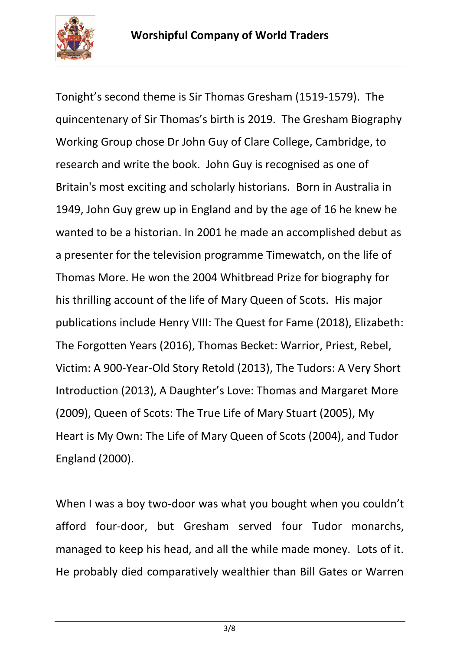

Tonight's second theme is Sir Thomas Gresham (1519-1579). The quincentenary of Sir Thomas's birth is 2019. The Gresham Biography Working Group chose Dr John Guy of Clare College, Cambridge, to research and write the book. John Guy is recognised as one of Britain's most exciting and scholarly historians. Born in Australia in 1949, John Guy grew up in England and by the age of 16 he knew he wanted to be a historian. In 2001 he made an accomplished debut as a presenter for the television programme Timewatch, on the life of Thomas More. He won the 2004 Whitbread Prize for biography for his thrilling account of the life of Mary Queen of Scots. His major publications include Henry VIII: The Quest for Fame (2018), Elizabeth: The Forgotten Years (2016), Thomas Becket: Warrior, Priest, Rebel, Victim: A 900-Year-Old Story Retold (2013), The Tudors: A Very Short Introduction (2013), A Daughter's Love: Thomas and Margaret More (2009), Queen of Scots: The True Life of Mary Stuart (2005), My Heart is My Own: The Life of Mary Queen of Scots (2004), and Tudor England (2000).

When I was a boy two-door was what you bought when you couldn't afford four-door, but Gresham served four Tudor monarchs, managed to keep his head, and all the while made money. Lots of it. He probably died comparatively wealthier than Bill Gates or Warren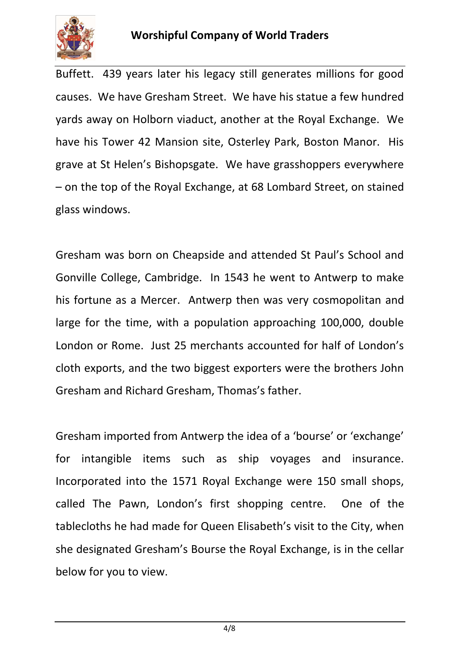

Buffett. 439 years later his legacy still generates millions for good causes. We have Gresham Street. We have his statue a few hundred yards away on Holborn viaduct, another at the Royal Exchange. We have his Tower 42 Mansion site, Osterley Park, Boston Manor. His grave at St Helen's Bishopsgate. We have grasshoppers everywhere – on the top of the Royal Exchange, at 68 Lombard Street, on stained glass windows.

Gresham was born on Cheapside and attended St Paul's School and Gonville College, Cambridge. In 1543 he went to Antwerp to make his fortune as a Mercer. Antwerp then was very cosmopolitan and large for the time, with a population approaching 100,000, double London or Rome. Just 25 merchants accounted for half of London's cloth exports, and the two biggest exporters were the brothers John Gresham and Richard Gresham, Thomas's father.

Gresham imported from Antwerp the idea of a 'bourse' or 'exchange' for intangible items such as ship voyages and insurance. Incorporated into the 1571 Royal Exchange were 150 small shops, called The Pawn, London's first shopping centre. One of the tablecloths he had made for Queen Elisabeth's visit to the City, when she designated Gresham's Bourse the Royal Exchange, is in the cellar below for you to view.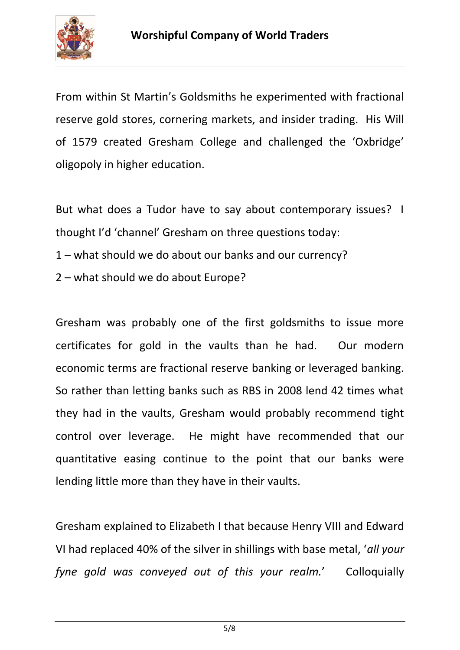

From within St Martin's Goldsmiths he experimented with fractional reserve gold stores, cornering markets, and insider trading. His Will of 1579 created Gresham College and challenged the 'Oxbridge' oligopoly in higher education.

But what does a Tudor have to say about contemporary issues? I thought I'd 'channel' Gresham on three questions today:

- 1 what should we do about our banks and our currency?
- 2 what should we do about Europe?

Gresham was probably one of the first goldsmiths to issue more certificates for gold in the vaults than he had. Our modern economic terms are fractional reserve banking or leveraged banking. So rather than letting banks such as RBS in 2008 lend 42 times what they had in the vaults, Gresham would probably recommend tight control over leverage. He might have recommended that our quantitative easing continue to the point that our banks were lending little more than they have in their vaults.

Gresham explained to Elizabeth I that because Henry VIII and Edward VI had replaced 40% of the silver in shillings with base metal, '*all your fyne gold was conveyed out of this your realm.*' Colloquially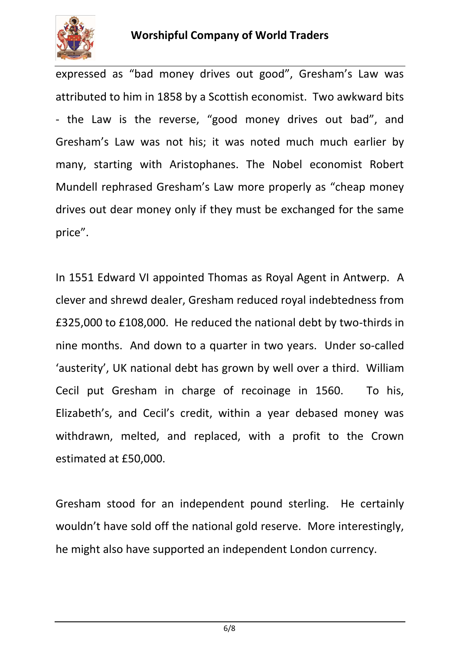

expressed as "bad money drives out good", Gresham's Law was attributed to him in 1858 by a Scottish economist. Two awkward bits - the Law is the reverse, "good money drives out bad", and Gresham's Law was not his; it was noted much much earlier by many, starting with Aristophanes. The Nobel economist Robert Mundell rephrased Gresham's Law more properly as "cheap money drives out dear money only if they must be exchanged for the same price".

In 1551 Edward VI appointed Thomas as Royal Agent in Antwerp. A clever and shrewd dealer, Gresham reduced royal indebtedness from £325,000 to £108,000. He reduced the national debt by two-thirds in nine months. And down to a quarter in two years. Under so-called 'austerity', UK national debt has grown by well over a third. William Cecil put Gresham in charge of recoinage in 1560. To his, Elizabeth's, and Cecil's credit, within a year debased money was withdrawn, melted, and replaced, with a profit to the Crown estimated at £50,000.

Gresham stood for an independent pound sterling. He certainly wouldn't have sold off the national gold reserve. More interestingly, he might also have supported an independent London currency.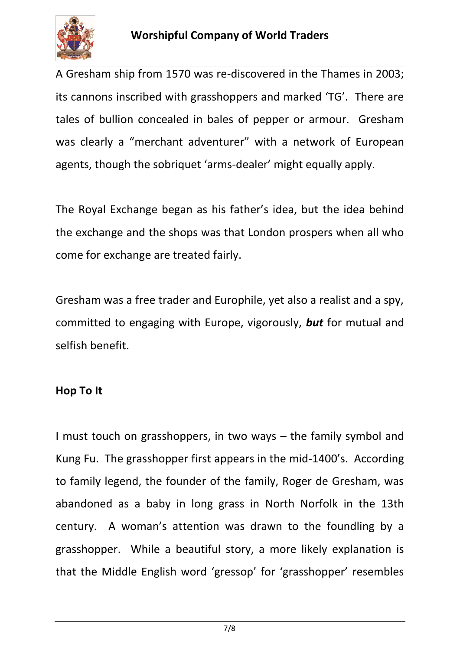

A Gresham ship from 1570 was re-discovered in the Thames in 2003; its cannons inscribed with grasshoppers and marked 'TG'. There are tales of bullion concealed in bales of pepper or armour. Gresham was clearly a "merchant adventurer" with a network of European agents, though the sobriquet 'arms-dealer' might equally apply.

The Royal Exchange began as his father's idea, but the idea behind the exchange and the shops was that London prospers when all who come for exchange are treated fairly.

Gresham was a free trader and Europhile, yet also a realist and a spy, committed to engaging with Europe, vigorously, *but* for mutual and selfish benefit.

## **Hop To It**

I must touch on grasshoppers, in two ways – the family symbol and Kung Fu. The grasshopper first appears in the mid-1400's. According to family legend, the founder of the family, Roger de Gresham, was abandoned as a baby in long grass in [North Norfolk](http://en.wikipedia.org/wiki/North_Norfolk) in the 13th century. A woman's attention was drawn to the foundling by a grasshopper. While a beautiful story, a more likely explanation is that the Middle English word 'gressop' for 'grasshopper' resembles